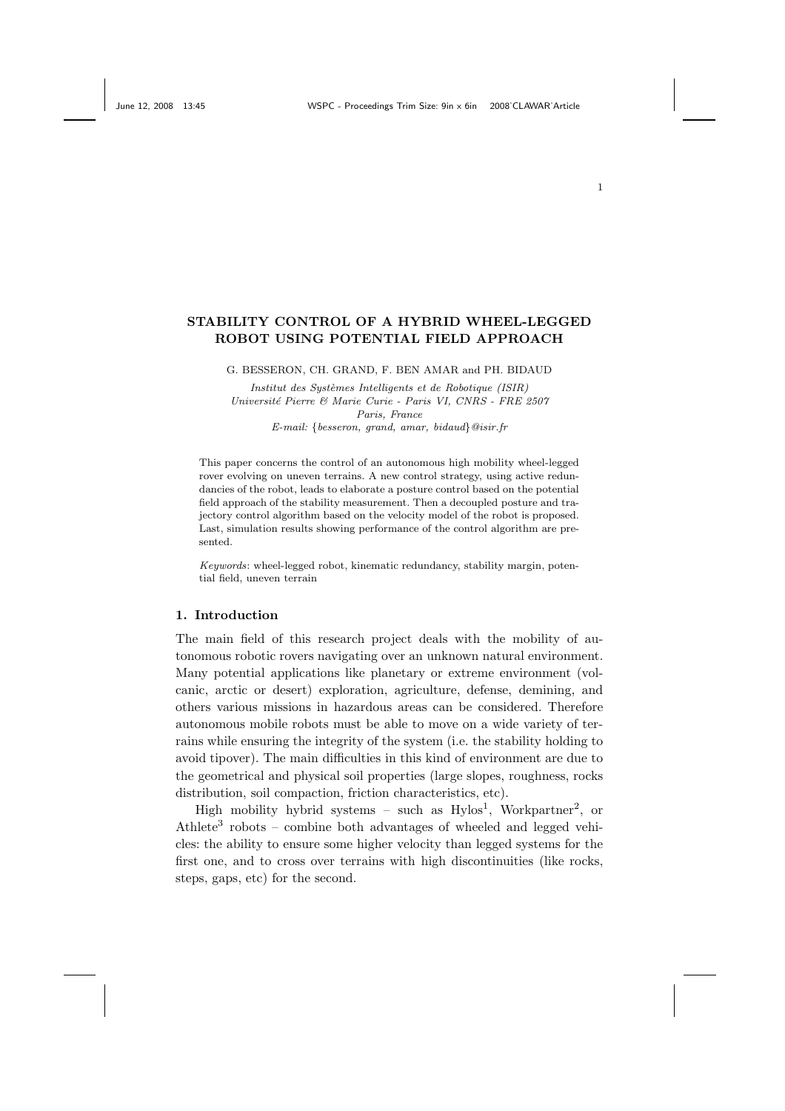# STABILITY CONTROL OF A HYBRID WHEEL-LEGGED ROBOT USING POTENTIAL FIELD APPROACH

G. BESSERON, CH. GRAND, F. BEN AMAR and PH. BIDAUD

Institut des Systèmes Intelligents et de Robotique (ISIR) Université Pierre & Marie Curie - Paris VI, CNRS - FRE 2507 Paris, France

E-mail: {besseron, grand, amar, bidaud}@isir.fr

This paper concerns the control of an autonomous high mobility wheel-legged rover evolving on uneven terrains. A new control strategy, using active redundancies of the robot, leads to elaborate a posture control based on the potential field approach of the stability measurement. Then a decoupled posture and trajectory control algorithm based on the velocity model of the robot is proposed. Last, simulation results showing performance of the control algorithm are presented.

Keywords: wheel-legged robot, kinematic redundancy, stability margin, potential field, uneven terrain

## 1. Introduction

The main field of this research project deals with the mobility of autonomous robotic rovers navigating over an unknown natural environment. Many potential applications like planetary or extreme environment (volcanic, arctic or desert) exploration, agriculture, defense, demining, and others various missions in hazardous areas can be considered. Therefore autonomous mobile robots must be able to move on a wide variety of terrains while ensuring the integrity of the system (i.e. the stability holding to avoid tipover). The main difficulties in this kind of environment are due to the geometrical and physical soil properties (large slopes, roughness, rocks distribution, soil compaction, friction characteristics, etc).

High mobility hybrid systems - such as Hylos<sup>1</sup>, Workpartner<sup>2</sup>, or Athlete<sup>3</sup> robots – combine both advantages of wheeled and legged vehicles: the ability to ensure some higher velocity than legged systems for the first one, and to cross over terrains with high discontinuities (like rocks, steps, gaps, etc) for the second.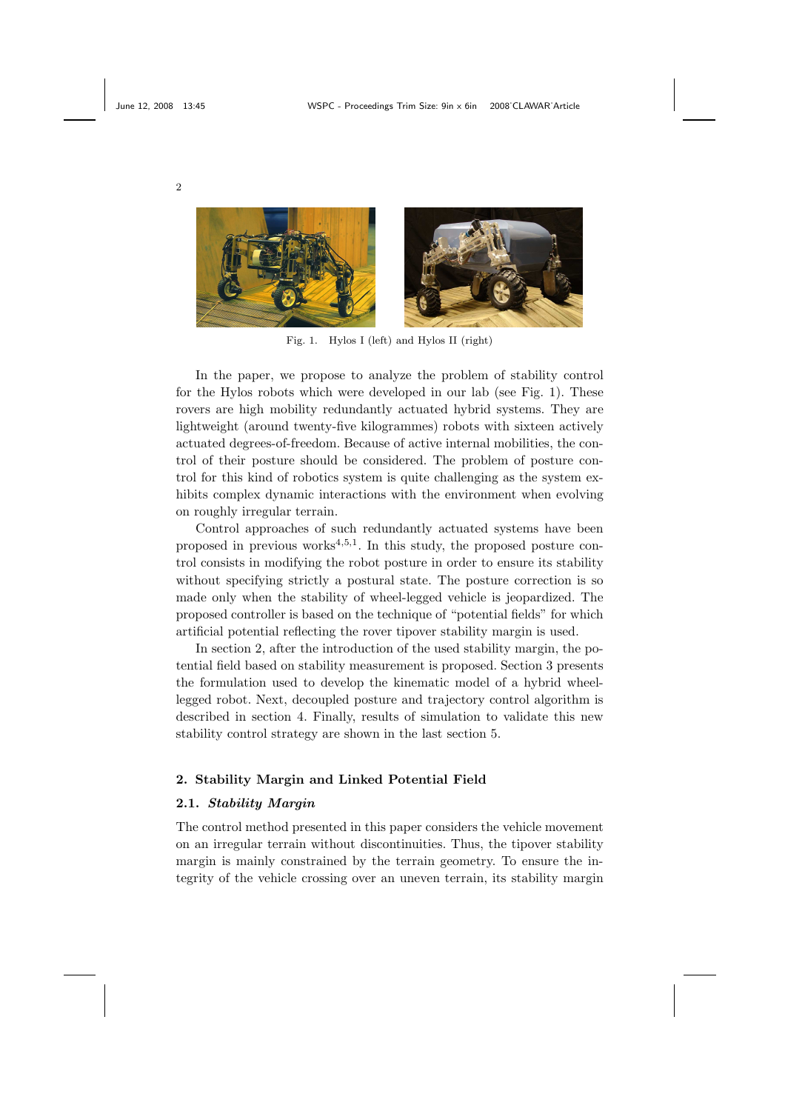

Fig. 1. Hylos I (left) and Hylos II (right)

In the paper, we propose to analyze the problem of stability control for the Hylos robots which were developed in our lab (see Fig. 1). These rovers are high mobility redundantly actuated hybrid systems. They are lightweight (around twenty-five kilogrammes) robots with sixteen actively actuated degrees-of-freedom. Because of active internal mobilities, the control of their posture should be considered. The problem of posture control for this kind of robotics system is quite challenging as the system exhibits complex dynamic interactions with the environment when evolving on roughly irregular terrain.

Control approaches of such redundantly actuated systems have been proposed in previous works<sup>4,5,1</sup>. In this study, the proposed posture control consists in modifying the robot posture in order to ensure its stability without specifying strictly a postural state. The posture correction is so made only when the stability of wheel-legged vehicle is jeopardized. The proposed controller is based on the technique of "potential fields" for which artificial potential reflecting the rover tipover stability margin is used.

In section 2, after the introduction of the used stability margin, the potential field based on stability measurement is proposed. Section 3 presents the formulation used to develop the kinematic model of a hybrid wheellegged robot. Next, decoupled posture and trajectory control algorithm is described in section 4. Finally, results of simulation to validate this new stability control strategy are shown in the last section 5.

# 2. Stability Margin and Linked Potential Field

# 2.1. Stability Margin

The control method presented in this paper considers the vehicle movement on an irregular terrain without discontinuities. Thus, the tipover stability margin is mainly constrained by the terrain geometry. To ensure the integrity of the vehicle crossing over an uneven terrain, its stability margin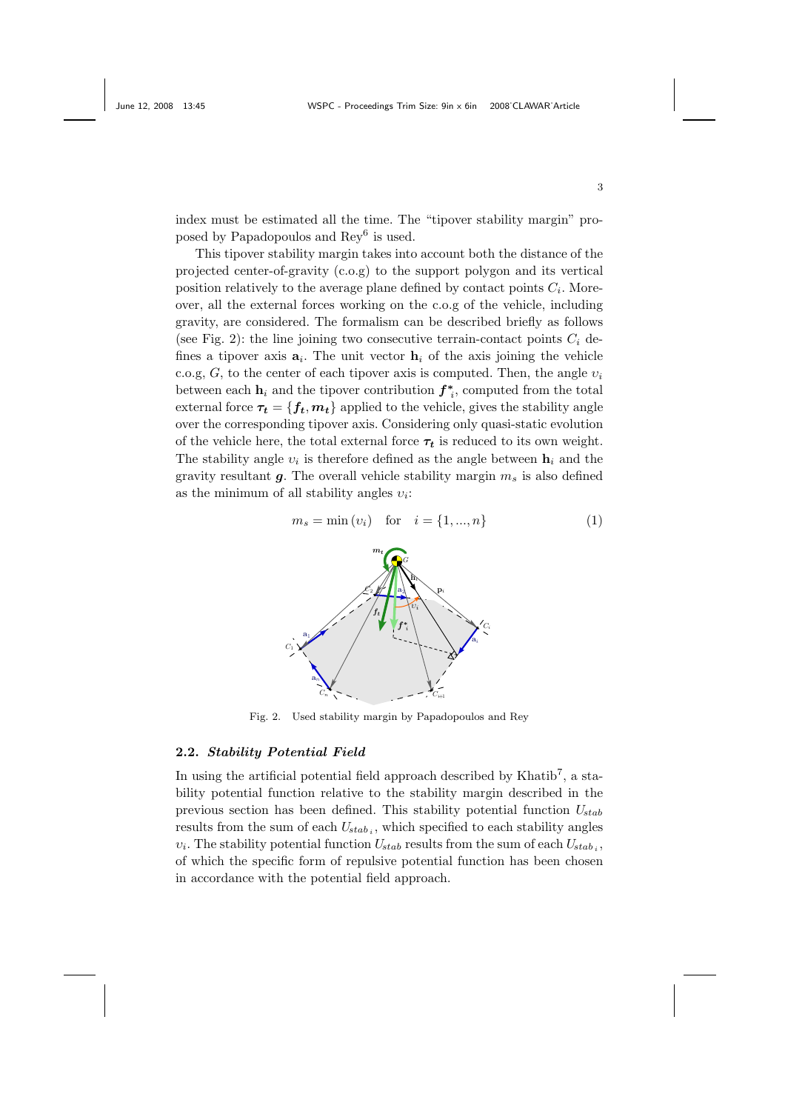index must be estimated all the time. The "tipover stability margin" proposed by Papadopoulos and Rey<sup>6</sup> is used.

This tipover stability margin takes into account both the distance of the projected center-of-gravity (c.o.g) to the support polygon and its vertical position relatively to the average plane defined by contact points  $C_i$ . Moreover, all the external forces working on the c.o.g of the vehicle, including gravity, are considered. The formalism can be described briefly as follows (see Fig. 2): the line joining two consecutive terrain-contact points  $C_i$  defines a tipover axis  $a_i$ . The unit vector  $h_i$  of the axis joining the vehicle c.o.g, G, to the center of each tipover axis is computed. Then, the angle  $v_i$ between each  $\mathbf{h}_i$  and the tipover contribution  $f^*_{i}$ , computed from the total external force  $\tau_t = \{f_t, m_t\}$  applied to the vehicle, gives the stability angle over the corresponding tipover axis. Considering only quasi-static evolution of the vehicle here, the total external force  $\tau_t$  is reduced to its own weight. The stability angle  $v_i$  is therefore defined as the angle between  $\mathbf{h}_i$  and the gravity resultant  $g$ . The overall vehicle stability margin  $m_s$  is also defined as the minimum of all stability angles  $v_i$ :

$$
m_s = \min(v_i) \quad \text{for} \quad i = \{1, ..., n\}
$$
 (1)



Fig. 2. Used stability margin by Papadopoulos and Rey

#### 2.2. Stability Potential Field

In using the artificial potential field approach described by Khatib<sup>7</sup>, a stability potential function relative to the stability margin described in the previous section has been defined. This stability potential function  $U_{stab}$ results from the sum of each  $U_{stab}$ , which specified to each stability angles  $v_i$ . The stability potential function  $U_{stab}$  results from the sum of each  $U_{stab}$ , of which the specific form of repulsive potential function has been chosen in accordance with the potential field approach.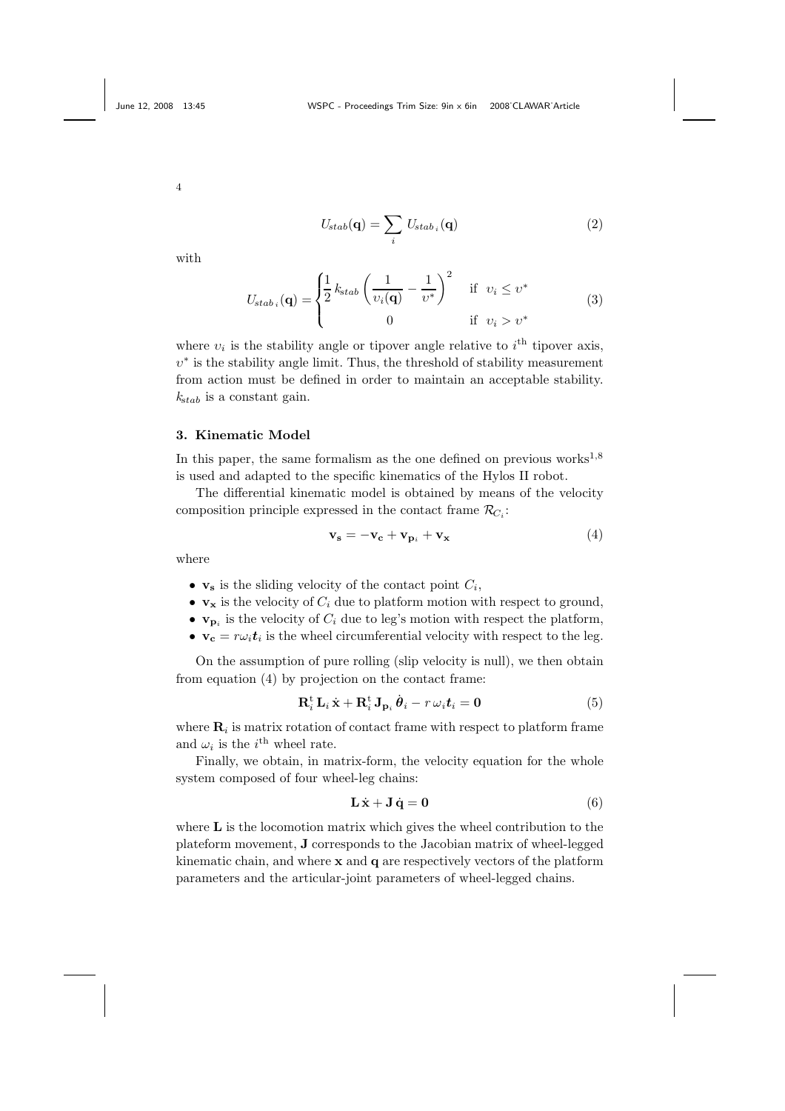$$
U_{stab}(\mathbf{q}) = \sum_{i} U_{stab_i}(\mathbf{q})
$$
\n(2)

with

$$
U_{stab_i}(\mathbf{q}) = \begin{cases} \frac{1}{2} k_{stab} \left( \frac{1}{v_i(\mathbf{q})} - \frac{1}{v^*} \right)^2 & \text{if } v_i \le v^* \\ 0 & \text{if } v_i > v^* \end{cases}
$$
(3)

where  $v_i$  is the stability angle or tipover angle relative to  $i^{\text{th}}$  tipover axis,  $v^*$  is the stability angle limit. Thus, the threshold of stability measurement from action must be defined in order to maintain an acceptable stability.  $k_{stab}$  is a constant gain.

## 3. Kinematic Model

In this paper, the same formalism as the one defined on previous works<sup>1,8</sup> is used and adapted to the specific kinematics of the Hylos II robot.

The differential kinematic model is obtained by means of the velocity composition principle expressed in the contact frame  $\mathcal{R}_{C_i}$ :

$$
\mathbf{v_s} = -\mathbf{v_c} + \mathbf{v_{p_i}} + \mathbf{v_x}
$$
 (4)

where

- $\mathbf{v}_s$  is the sliding velocity of the contact point  $C_i$ ,
- $\mathbf{v}_x$  is the velocity of  $C_i$  due to platform motion with respect to ground,
- $\mathbf{v}_{\mathbf{p}_i}$  is the velocity of  $C_i$  due to leg's motion with respect the platform,
- $\mathbf{v_c} = r\omega_i \mathbf{t}_i$  is the wheel circumferential velocity with respect to the leg.

On the assumption of pure rolling (slip velocity is null), we then obtain from equation (4) by projection on the contact frame:

$$
\mathbf{R}_{i}^{\mathrm{t}}\,\mathbf{L}_{i}\,\dot{\mathbf{x}} + \mathbf{R}_{i}^{\mathrm{t}}\,\mathbf{J}_{\mathbf{p}_{i}}\,\dot{\boldsymbol{\theta}}_{i} - r\,\omega_{i}\mathbf{t}_{i} = \mathbf{0} \tag{5}
$$

where  $\mathbf{R}_i$  is matrix rotation of contact frame with respect to platform frame and  $\omega_i$  is the *i*<sup>th</sup> wheel rate.

Finally, we obtain, in matrix-form, the velocity equation for the whole system composed of four wheel-leg chains:

$$
\mathbf{L}\dot{\mathbf{x}} + \mathbf{J}\dot{\mathbf{q}} = \mathbf{0} \tag{6}
$$

where **L** is the locomotion matrix which gives the wheel contribution to the plateform movement, J corresponds to the Jacobian matrix of wheel-legged kinematic chain, and where  $x$  and  $q$  are respectively vectors of the platform parameters and the articular-joint parameters of wheel-legged chains.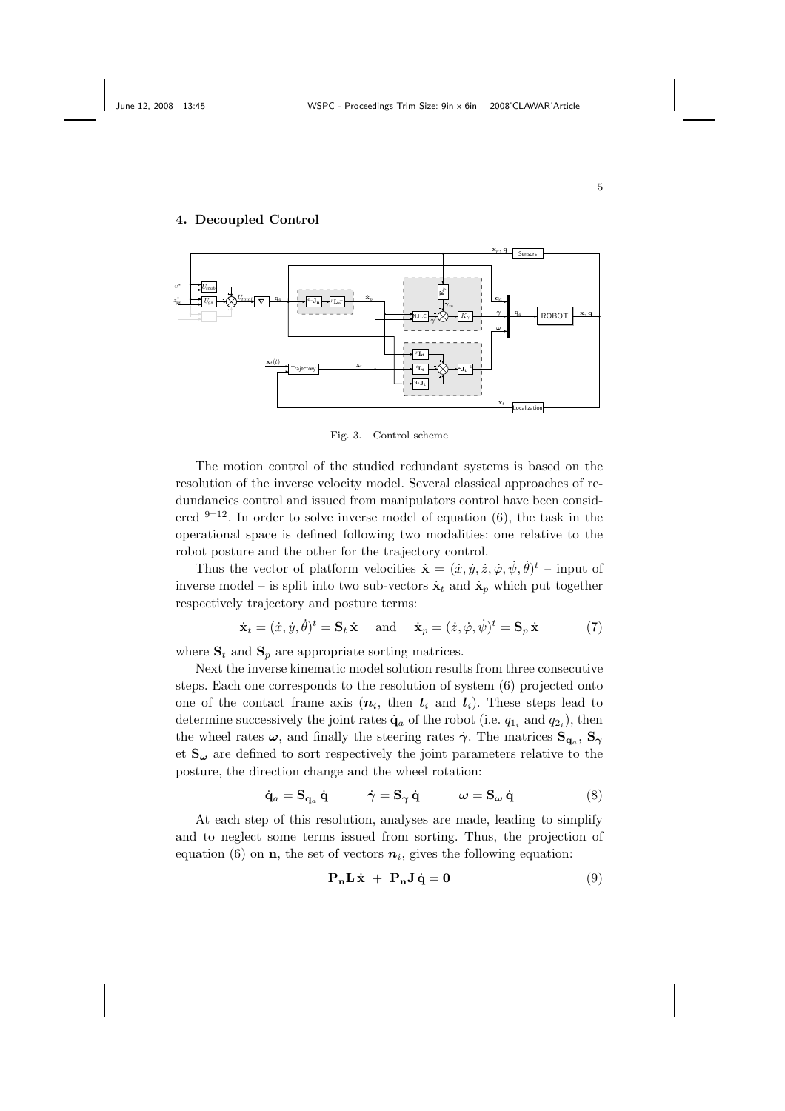## 4. Decoupled Control



Fig. 3. Control scheme

The motion control of the studied redundant systems is based on the resolution of the inverse velocity model. Several classical approaches of redundancies control and issued from manipulators control have been considered  $9-12$ . In order to solve inverse model of equation (6), the task in the operational space is defined following two modalities: one relative to the robot posture and the other for the trajectory control.

Thus the vector of platform velocities  $\dot{\mathbf{x}} = (\dot{x}, \dot{y}, \dot{z}, \dot{\varphi}, \dot{\psi}, \dot{\theta})^t$  – input of inverse model – is split into two sub-vectors  $\dot{\mathbf{x}}_t$  and  $\dot{\mathbf{x}}_p$  which put together respectively trajectory and posture terms:

$$
\dot{\mathbf{x}}_t = (\dot{x}, \dot{y}, \dot{\theta})^t = \mathbf{S}_t \dot{\mathbf{x}} \quad \text{and} \quad \dot{\mathbf{x}}_p = (\dot{z}, \dot{\varphi}, \dot{\psi})^t = \mathbf{S}_p \dot{\mathbf{x}} \tag{7}
$$

where  $S_t$  and  $S_p$  are appropriate sorting matrices.

Next the inverse kinematic model solution results from three consecutive steps. Each one corresponds to the resolution of system (6) projected onto one of the contact frame axis  $(n_i, \text{ then } t_i \text{ and } l_i)$ . These steps lead to determine successively the joint rates  $\dot{\mathbf{q}}_a$  of the robot (i.e.  $q_{1i}$  and  $q_{2i}$ ), then the wheel rates  $\omega$ , and finally the steering rates  $\dot{\gamma}$ . The matrices  $S_{q_a}, S_{\gamma}$ et  $S_{\omega}$  are defined to sort respectively the joint parameters relative to the posture, the direction change and the wheel rotation:

$$
\dot{\mathbf{q}}_a = \mathbf{S}_{\mathbf{q}_a} \dot{\mathbf{q}} \qquad \dot{\gamma} = \mathbf{S}_{\gamma} \dot{\mathbf{q}} \qquad \omega = \mathbf{S}_{\omega} \dot{\mathbf{q}} \qquad (8)
$$

At each step of this resolution, analyses are made, leading to simplify and to neglect some terms issued from sorting. Thus, the projection of equation (6) on **n**, the set of vectors  $n_i$ , gives the following equation:

$$
\mathbf{P_n} \mathbf{L} \dot{\mathbf{x}} + \mathbf{P_n} \mathbf{J} \dot{\mathbf{q}} = \mathbf{0}
$$
 (9)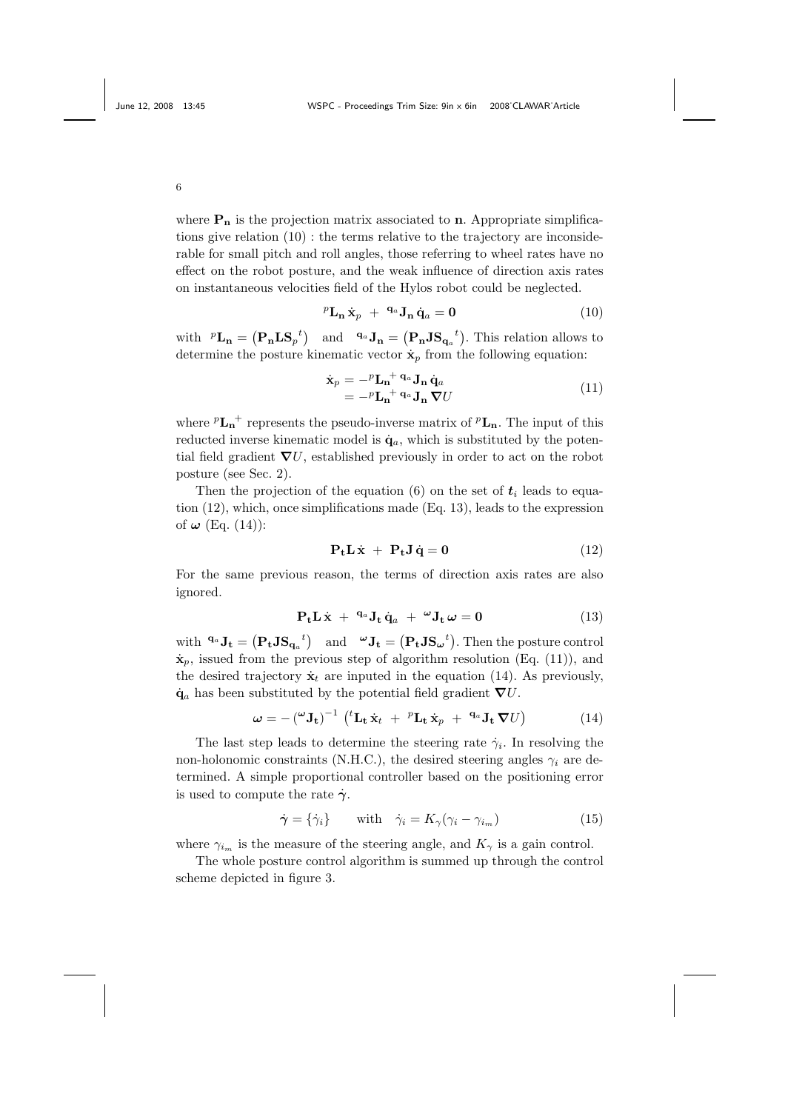where  $P_n$  is the projection matrix associated to n. Appropriate simplifications give relation (10) : the terms relative to the trajectory are inconsiderable for small pitch and roll angles, those referring to wheel rates have no effect on the robot posture, and the weak influence of direction axis rates on instantaneous velocities field of the Hylos robot could be neglected.

$$
{}^{p}\mathbf{L}_{\mathbf{n}}\dot{\mathbf{x}}_{p} + {}^{\mathbf{q}_{a}}\mathbf{J}_{\mathbf{n}}\dot{\mathbf{q}}_{a} = \mathbf{0}
$$
 (10)

with  ${}^p{\bf L}_n = ({\bf P}_n{\bf L}{\bf S}_p{}^t)$  and  ${}^{{\bf q}_a}{\bf J}_n = ({\bf P}_n{\bf J}{\bf S}_{{\bf q}_a}{}^t)$ . This relation allows to determine the posture kinematic vector  $\dot{\mathbf{x}}_p$  from the following equation:

$$
\begin{aligned} \dot{\mathbf{x}}_p &= -^p \mathbf{L_n}^+ \mathbf{q}_a \mathbf{J_n} \dot{\mathbf{q}}_a \\ &= -^p \mathbf{L_n}^+ \mathbf{q}_a \mathbf{J_n} \boldsymbol{\nabla} U \end{aligned} \tag{11}
$$

where  ${}^p{\bf L_n}^+$  represents the pseudo-inverse matrix of  ${}^p{\bf L_n}$ . The input of this reducted inverse kinematic model is  $\dot{\mathbf{q}}_a$ , which is substituted by the potential field gradient  $\nabla U$ , established previously in order to act on the robot posture (see Sec. 2).

Then the projection of the equation (6) on the set of  $t_i$  leads to equation (12), which, once simplifications made (Eq. 13), leads to the expression of  $\omega$  (Eq. (14)):

$$
\mathbf{P}_{t}\mathbf{L}\dot{\mathbf{x}} + \mathbf{P}_{t}\mathbf{J}\dot{\mathbf{q}} = \mathbf{0}
$$
 (12)

For the same previous reason, the terms of direction axis rates are also ignored.

$$
P_t L \dot{x} + {}^{q_a} J_t \dot{q}_a + {}^{\omega} J_t \omega = 0 \qquad (13)
$$

with  $\mathbf{q}_a \mathbf{J_t} = (\mathbf{P_t J S_{q_a}}^t)$  and  $\mathbf{v} \mathbf{J_t} = (\mathbf{P_t J S_{\omega}}^t)$ . Then the posture control  $\dot{\mathbf{x}}_p$ , issued from the previous step of algorithm resolution (Eq. (11)), and the desired trajectory  $\dot{\mathbf{x}}_t$  are inputed in the equation (14). As previously,  $\dot{\mathbf{q}}_a$  has been substituted by the potential field gradient  $\nabla U$ .

$$
\boldsymbol{\omega} = -(\mathbf{U} \mathbf{J}_{t})^{-1} (t \mathbf{L}_{t} \dot{\mathbf{x}}_{t} + {}^{p} \mathbf{L}_{t} \dot{\mathbf{x}}_{p} + {}^{q_{a}} \mathbf{J}_{t} \boldsymbol{\nabla} U) \qquad (14)
$$

The last step leads to determine the steering rate  $\dot{\gamma}_i$ . In resolving the non-holonomic constraints (N.H.C.), the desired steering angles  $\gamma_i$  are determined. A simple proportional controller based on the positioning error is used to compute the rate  $\dot{\gamma}$ .

$$
\dot{\gamma} = \{\dot{\gamma}_i\} \qquad \text{with} \quad \dot{\gamma}_i = K_{\gamma}(\gamma_i - \gamma_{i_m}) \tag{15}
$$

where  $\gamma_{i_m}$  is the measure of the steering angle, and  $K_{\gamma}$  is a gain control.

The whole posture control algorithm is summed up through the control scheme depicted in figure 3.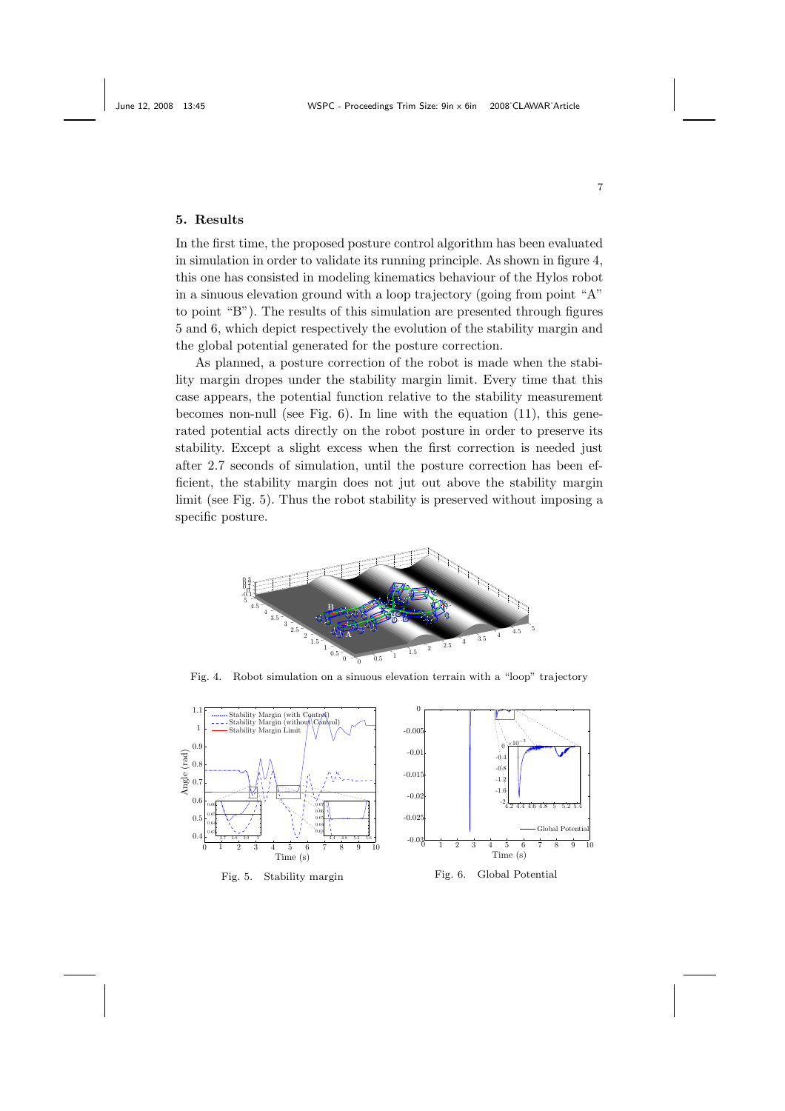# 5. Results

In the first time, the proposed posture control algorithm has been evaluated in simulation in order to validate its running principle. As shown in figure 4, this one has consisted in modeling kinematics behaviour of the Hylos robot in a sinuous elevation ground with a loop trajectory (going from point "A" to point "B"). The results of this simulation are presented through figures 5 and 6, which depict respectively the evolution of the stability margin and the global potential generated for the posture correction.

As planned, a posture correction of the robot is made when the stability margin dropes under the stability margin limit. Every time that this case appears, the potential function relative to the stability measurement becomes non-null (see Fig.  $6$ ). In line with the equation (11), this generated potential acts directly on the robot posture in order to preserve its stability. Except a slight excess when the first correction is needed just after 2.7 seconds of simulation, until the posture correction has been efficient, the stability margin does not jut out above the stability margin limit (see Fig. 5). Thus the robot stability is preserved without imposing a specific posture.



Fig. 4. Robot simulation on a sinuous elevation terrain with a "loop" trajectory



7